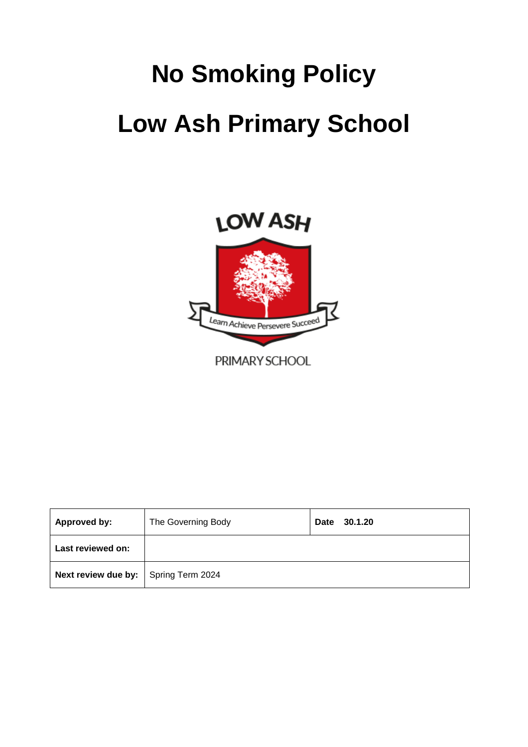# **No Smoking Policy Low Ash Primary School**



| Approved by:                                | The Governing Body | Date<br>30.1.20 |
|---------------------------------------------|--------------------|-----------------|
| Last reviewed on:                           |                    |                 |
| <b>Next review due by:</b> Spring Term 2024 |                    |                 |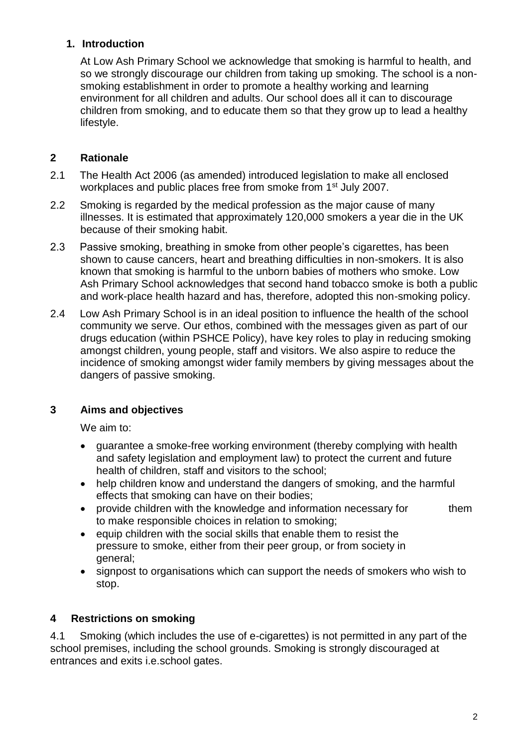## **1. Introduction**

At Low Ash Primary School we acknowledge that smoking is harmful to health, and so we strongly discourage our children from taking up smoking. The school is a nonsmoking establishment in order to promote a healthy working and learning environment for all children and adults. Our school does all it can to discourage children from smoking, and to educate them so that they grow up to lead a healthy lifestyle.

## **2 Rationale**

- 2.1 The Health Act 2006 (as amended) introduced legislation to make all enclosed workplaces and public places free from smoke from 1st July 2007.
- 2.2 Smoking is regarded by the medical profession as the major cause of many illnesses. It is estimated that approximately 120,000 smokers a year die in the UK because of their smoking habit.
- 2.3 Passive smoking, breathing in smoke from other people's cigarettes, has been shown to cause cancers, heart and breathing difficulties in non-smokers. It is also known that smoking is harmful to the unborn babies of mothers who smoke. Low Ash Primary School acknowledges that second hand tobacco smoke is both a public and work-place health hazard and has, therefore, adopted this non-smoking policy.
- 2.4 Low Ash Primary School is in an ideal position to influence the health of the school community we serve. Our ethos, combined with the messages given as part of our drugs education (within PSHCE Policy), have key roles to play in reducing smoking amongst children, young people, staff and visitors. We also aspire to reduce the incidence of smoking amongst wider family members by giving messages about the dangers of passive smoking.

# **3 Aims and objectives**

We aim to:

- guarantee a smoke-free working environment (thereby complying with health and safety legislation and employment law) to protect the current and future health of children, staff and visitors to the school;
- help children know and understand the dangers of smoking, and the harmful effects that smoking can have on their bodies;
- provide children with the knowledge and information necessary for them to make responsible choices in relation to smoking;
- equip children with the social skills that enable them to resist the pressure to smoke, either from their peer group, or from society in general;
- signpost to organisations which can support the needs of smokers who wish to stop.

# **4 Restrictions on smoking**

4.1 Smoking (which includes the use of e-cigarettes) is not permitted in any part of the school premises, including the school grounds. Smoking is strongly discouraged at entrances and exits i.e.school gates.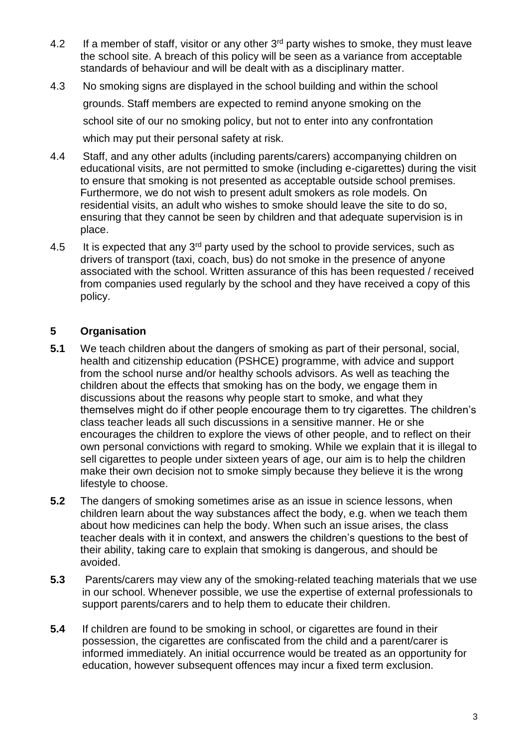- 4.2 If a member of staff, visitor or any other  $3<sup>rd</sup>$  party wishes to smoke, they must leave the school site. A breach of this policy will be seen as a variance from acceptable standards of behaviour and will be dealt with as a disciplinary matter.
- 4.3 No smoking signs are displayed in the school building and within the school grounds. Staff members are expected to remind anyone smoking on the school site of our no smoking policy, but not to enter into any confrontation which may put their personal safety at risk.
- 4.4 Staff, and any other adults (including parents/carers) accompanying children on educational visits, are not permitted to smoke (including e-cigarettes) during the visit to ensure that smoking is not presented as acceptable outside school premises. Furthermore, we do not wish to present adult smokers as role models. On residential visits, an adult who wishes to smoke should leave the site to do so, ensuring that they cannot be seen by children and that adequate supervision is in place.
- 4.5 It is expected that any  $3<sup>rd</sup>$  party used by the school to provide services, such as drivers of transport (taxi, coach, bus) do not smoke in the presence of anyone associated with the school. Written assurance of this has been requested / received from companies used regularly by the school and they have received a copy of this policy.

### **5 Organisation**

- **5.1** We teach children about the dangers of smoking as part of their personal, social, health and citizenship education (PSHCE) programme, with advice and support from the school nurse and/or healthy schools advisors. As well as teaching the children about the effects that smoking has on the body, we engage them in discussions about the reasons why people start to smoke, and what they themselves might do if other people encourage them to try cigarettes. The children's class teacher leads all such discussions in a sensitive manner. He or she encourages the children to explore the views of other people, and to reflect on their own personal convictions with regard to smoking. While we explain that it is illegal to sell cigarettes to people under sixteen years of age, our aim is to help the children make their own decision not to smoke simply because they believe it is the wrong lifestyle to choose.
- **5.2** The dangers of smoking sometimes arise as an issue in science lessons, when children learn about the way substances affect the body, e.g. when we teach them about how medicines can help the body. When such an issue arises, the class teacher deals with it in context, and answers the children's questions to the best of their ability, taking care to explain that smoking is dangerous, and should be avoided.
- **5.3** Parents/carers may view any of the smoking-related teaching materials that we use in our school. Whenever possible, we use the expertise of external professionals to support parents/carers and to help them to educate their children.
- **5.4** If children are found to be smoking in school, or cigarettes are found in their possession, the cigarettes are confiscated from the child and a parent/carer is informed immediately. An initial occurrence would be treated as an opportunity for education, however subsequent offences may incur a fixed term exclusion.